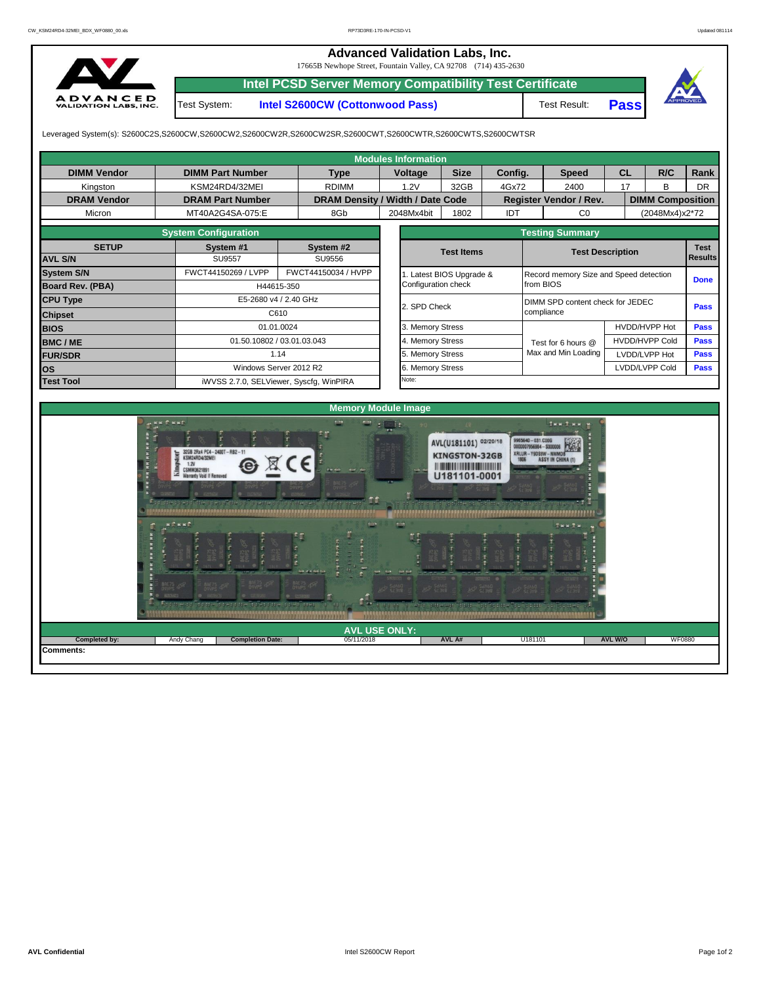## 17665B Newhope Street, Fountain Valley, CA 92708 (714) 435-2630 **Advanced Validation Labs, Inc.**



**Intel PCSD Server Memory Compatibility Test Certificate**

Test System: **Intel S2600CW (Cottonwood Pass)**

Test Result: **Pass**



Leveraged System(s): S2600C2S,S2600CW,S2600CW2,S2600CW2R,S2600CW2SR,S2600CWT,S2600CWTR,S2600CWTS,S2600CWTSR

**Completion Date:** 

|                    |                                                                                                                                                                                             |                        |                                  |                       | <b>Modules Information</b>                                        |                                                               |         |                                                                                                       |                         |                         |             |                |             |  |  |
|--------------------|---------------------------------------------------------------------------------------------------------------------------------------------------------------------------------------------|------------------------|----------------------------------|-----------------------|-------------------------------------------------------------------|---------------------------------------------------------------|---------|-------------------------------------------------------------------------------------------------------|-------------------------|-------------------------|-------------|----------------|-------------|--|--|
| <b>DIMM Vendor</b> | <b>DIMM Part Number</b>                                                                                                                                                                     |                        |                                  |                       | Voltage                                                           | <b>Size</b>                                                   | Config. |                                                                                                       | <b>Speed</b>            |                         | <b>CL</b>   | R/C            | Rank        |  |  |
| Kingston           | KSM24RD4/32MEI                                                                                                                                                                              |                        | <b>RDIMM</b>                     |                       | 1.2V                                                              | 32GB                                                          | 4Gx72   |                                                                                                       | 2400                    |                         | 17          | B              | <b>DR</b>   |  |  |
| <b>DRAM Vendor</b> | <b>DRAM Part Number</b>                                                                                                                                                                     |                        | DRAM Density / Width / Date Code |                       |                                                                   |                                                               |         |                                                                                                       | Register Vendor / Rev.  | <b>DIMM Composition</b> |             |                |             |  |  |
| Micron             | MT40A2G4SA-075:E                                                                                                                                                                            |                        | 8Gb                              |                       | 2048Mx4bit                                                        | 1802                                                          | IDT     |                                                                                                       | CO                      |                         |             | (2048Mx4)x2*72 |             |  |  |
|                    |                                                                                                                                                                                             | <b>Testing Summary</b> |                                  |                       |                                                                   |                                                               |         |                                                                                                       |                         |                         |             |                |             |  |  |
| <b>SETUP</b>       | System #1                                                                                                                                                                                   |                        | System #2                        |                       |                                                                   | <b>Test Items</b>                                             |         |                                                                                                       |                         |                         |             |                | <b>Test</b> |  |  |
| <b>AVL S/N</b>     | <b>SU9557</b>                                                                                                                                                                               |                        | SU9556                           |                       |                                                                   |                                                               |         | <b>Test Description</b><br><b>Results</b>                                                             |                         |                         |             |                |             |  |  |
| <b>System S/N</b>  | FWCT44150269 / LVPP                                                                                                                                                                         |                        | FWCT44150034 / HVPP              |                       | . Latest BIOS Upgrade &<br>Record memory Size and Speed detection |                                                               |         |                                                                                                       |                         |                         | <b>Done</b> |                |             |  |  |
| Board Rev. (PBA)   |                                                                                                                                                                                             | H44615-350             |                                  |                       | Configuration check                                               |                                                               |         |                                                                                                       | from BIOS               |                         |             |                |             |  |  |
| <b>CPU Type</b>    |                                                                                                                                                                                             | E5-2680 v4 / 2.40 GHz  |                                  |                       |                                                                   |                                                               |         | DIMM SPD content check for JEDEC<br>Pass                                                              |                         |                         |             |                |             |  |  |
| <b>Chipset</b>     |                                                                                                                                                                                             | C610                   |                                  |                       | 2. SPD Check                                                      |                                                               |         |                                                                                                       | compliance              |                         |             |                |             |  |  |
| <b>BIOS</b>        |                                                                                                                                                                                             | 01.01.0024             |                                  |                       |                                                                   | 3. Memory Stress                                              |         |                                                                                                       |                         | <b>HVDD/HVPP Hot</b>    |             |                | <b>Pass</b> |  |  |
| <b>BMC/ME</b>      | 01.50.10802 / 03.01.03.043                                                                                                                                                                  |                        |                                  |                       | 4. Memory Stress                                                  |                                                               |         |                                                                                                       |                         |                         |             |                | <b>Pass</b> |  |  |
| <b>FUR/SDR</b>     | 1.14                                                                                                                                                                                        |                        |                                  |                       | 5. Memory Stress                                                  |                                                               |         |                                                                                                       |                         |                         |             |                | <b>Pass</b> |  |  |
| los                | Windows Server 2012 R2                                                                                                                                                                      |                        |                                  |                       | 6. Memory Stress                                                  |                                                               |         | <b>HVDD/HVPP Cold</b><br>Test for 6 hours @<br>Max and Min Loading<br>LVDD/LVPP Hot<br>LVDD/LVPP Cold |                         |                         |             |                | <b>Pass</b> |  |  |
| <b>Test Tool</b>   | iWVSS 2.7.0, SELViewer, Syscfq, WinPIRA                                                                                                                                                     |                        |                                  |                       | Note:                                                             |                                                               |         |                                                                                                       |                         |                         |             |                |             |  |  |
|                    |                                                                                                                                                                                             |                        |                                  |                       |                                                                   |                                                               |         |                                                                                                       |                         |                         |             |                |             |  |  |
|                    |                                                                                                                                                                                             |                        | <b>Memory Module Image</b>       |                       |                                                                   |                                                               |         |                                                                                                       |                         |                         |             |                |             |  |  |
|                    | $B$ <b>KK</b> <sup><math>P</math></sup> <b>KK</b> <sup><math>P</math></sup><br>32GB 2Rx4 PC4-2400T-RB2-11<br>KSM24RD4/32MEI<br>1.2V<br><b>CSMM362189</b><br><b>Warranty Void If Removed</b> | $\boxtimes C$ E        | $\leftarrow$                     | $=$ : $\frac{1}{n}$ : |                                                                   | AVL(U181101) 02/20/18<br><b>KINGSTON-32GB</b><br>U181101-0001 |         | 9965640 - 031.C00G<br>0000007956984 - S000                                                            | INN T.N.M. M<br>Mô<br>F |                         |             |                |             |  |  |

**Comments:**

05/11/2018 **AVL A# AVL USE ONLY: Completed by:** Andy Chang **AVL W/O** WF0880

r I

T

 $\mathbb{R}^n$ 

 $\overline{U181}$ 

ennu . . . . .